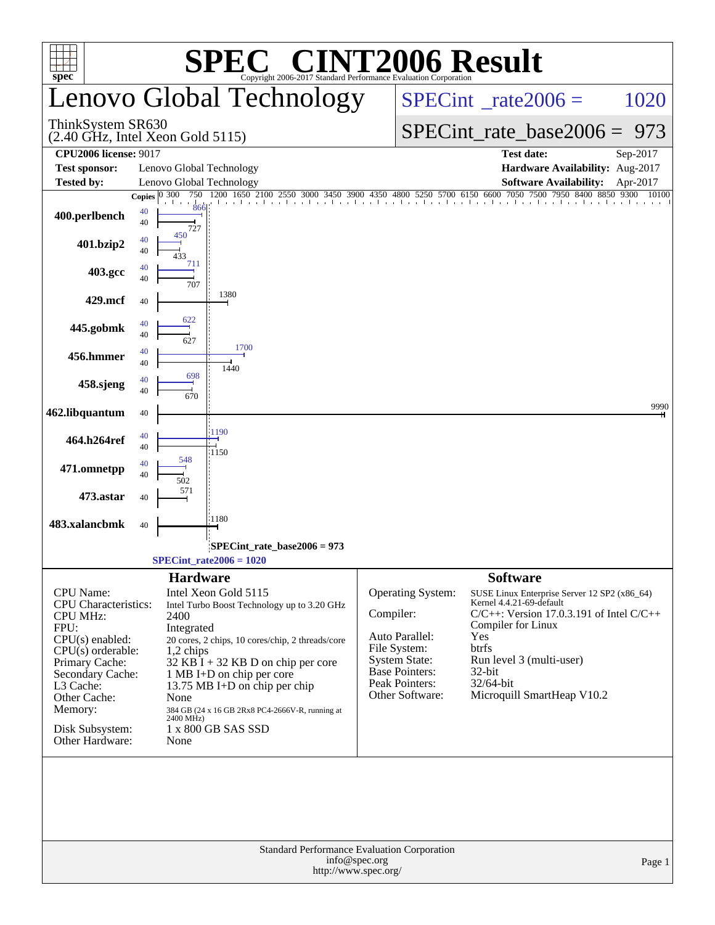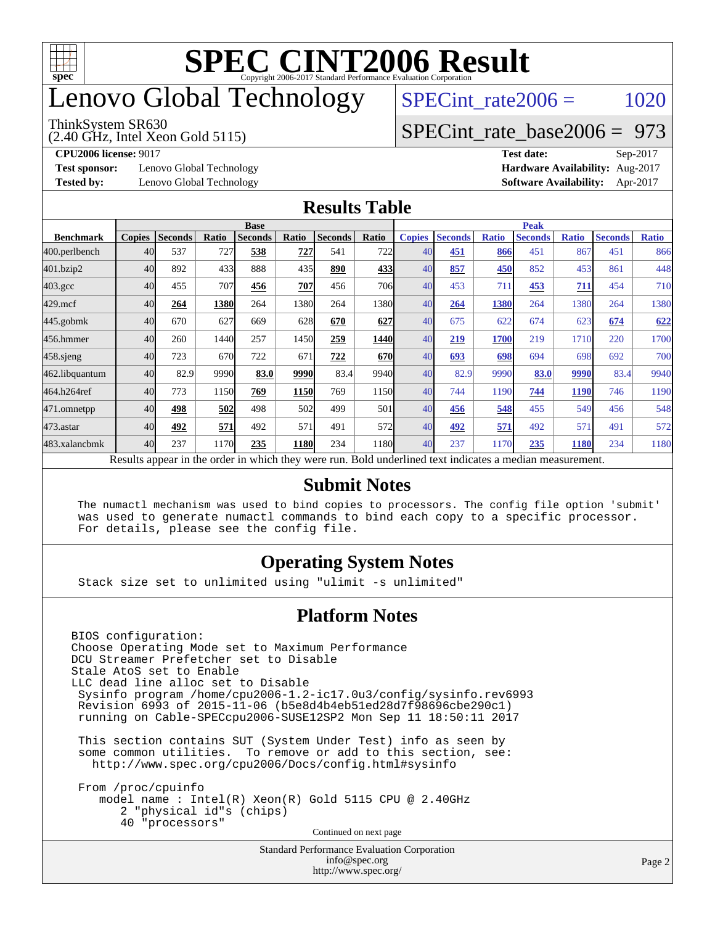

## enovo Global Technology

#### ThinkSystem SR630

(2.40 GHz, Intel Xeon Gold 5115)

 $SPECTnt_rate2006 = 1020$ 

### [SPECint\\_rate\\_base2006 =](http://www.spec.org/auto/cpu2006/Docs/result-fields.html#SPECintratebase2006) 973

**[Test sponsor:](http://www.spec.org/auto/cpu2006/Docs/result-fields.html#Testsponsor)** Lenovo Global Technology **[Hardware Availability:](http://www.spec.org/auto/cpu2006/Docs/result-fields.html#HardwareAvailability)** Aug-2017

**[CPU2006 license:](http://www.spec.org/auto/cpu2006/Docs/result-fields.html#CPU2006license)** 9017 **[Test date:](http://www.spec.org/auto/cpu2006/Docs/result-fields.html#Testdate)** Sep-2017 **[Tested by:](http://www.spec.org/auto/cpu2006/Docs/result-fields.html#Testedby)** Lenovo Global Technology **[Software Availability:](http://www.spec.org/auto/cpu2006/Docs/result-fields.html#SoftwareAvailability)** Apr-2017

#### **[Results Table](http://www.spec.org/auto/cpu2006/Docs/result-fields.html#ResultsTable)**

|                    | <b>Base</b>   |                |       |                |             |                |            | <b>Peak</b>   |                |              |                                                                                                          |              |                |              |
|--------------------|---------------|----------------|-------|----------------|-------------|----------------|------------|---------------|----------------|--------------|----------------------------------------------------------------------------------------------------------|--------------|----------------|--------------|
| <b>Benchmark</b>   | <b>Copies</b> | <b>Seconds</b> | Ratio | <b>Seconds</b> | Ratio       | <b>Seconds</b> | Ratio      | <b>Copies</b> | <b>Seconds</b> | <b>Ratio</b> | <b>Seconds</b>                                                                                           | <b>Ratio</b> | <b>Seconds</b> | <b>Ratio</b> |
| 400.perlbench      | 40            | 537            | 727   | 538            | 727         | 541            | 722        | 40            | 451            | 866          | 451                                                                                                      | 867          | 451            | 866          |
| 401.bzip2          | 40            | 892            | 433   | 888            | 435         | 890            | 433        | 40            | 857            | 450          | 852                                                                                                      | 453          | 861            | 448          |
| $403.\mathrm{gcc}$ | 40            | 455            | 707   | 456            | 707         | 456            | 706        | 40            | 453            | 711          | 453                                                                                                      | 711          | 454            | 710          |
| $429$ .mcf         | 40            | 264            | 1380  | 264            | 1380        | 264            | 1380l      | 40            | 264            | 1380         | 264                                                                                                      | 1380         | 264            | 1380         |
| $445$ .gobmk       | 40            | 670            | 627   | 669            | 628         | 670            | 627        | 40            | 675            | 622          | 674                                                                                                      | 623          | 674            | 622          |
| 456.hmmer          | 40            | 260            | 1440  | 257            | 1450        | 259            | 1440       | 40            | 219            | 1700         | 219                                                                                                      | 1710         | 220            | 1700         |
| $458$ .sjeng       | 40            | 723            | 670   | 722            | 671         | 722            | <b>670</b> | 40            | 693            | 698          | 694                                                                                                      | 698          | 692            | 700          |
| 462.libquantum     | 40            | 82.9           | 9990  | 83.0           | 9990        | 83.4           | 9940       | 40            | 82.9           | 9990         | 83.0                                                                                                     | 9990         | 83.4           | 9940         |
| 464.h264ref        | 40            | 773            | 1150  | 769            | 1150        | 769            | 1150       | 40            | 744            | 1190         | 744                                                                                                      | <b>1190</b>  | 746            | 1190         |
| 471.omnetpp        | 40            | 498            | 502   | 498            | 502         | 499            | 501        | 40            | 456            | 548          | 455                                                                                                      | 549          | 456            | 548          |
| $473$ . astar      | 40            | 492            | 571   | 492            | 571         | 491            | 572        | 40            | 492            | 571          | 492                                                                                                      | 571          | 491            | 572          |
| 483.xalancbmk      | 40            | 237            | 1170  | 235            | <b>1180</b> | 234            | 1180       | 40            | 237            | 1170         | 235                                                                                                      | 1180         | 234            | 1180         |
|                    |               |                |       |                |             |                |            |               |                |              | Results appear in the order in which they were run. Bold underlined text indicates a median measurement. |              |                |              |

#### **[Submit Notes](http://www.spec.org/auto/cpu2006/Docs/result-fields.html#SubmitNotes)**

 The numactl mechanism was used to bind copies to processors. The config file option 'submit' was used to generate numactl commands to bind each copy to a specific processor. For details, please see the config file.

#### **[Operating System Notes](http://www.spec.org/auto/cpu2006/Docs/result-fields.html#OperatingSystemNotes)**

Stack size set to unlimited using "ulimit -s unlimited"

#### **[Platform Notes](http://www.spec.org/auto/cpu2006/Docs/result-fields.html#PlatformNotes)**

Standard Performance Evaluation Corporation [info@spec.org](mailto:info@spec.org) <http://www.spec.org/> BIOS configuration: Choose Operating Mode set to Maximum Performance DCU Streamer Prefetcher set to Disable Stale AtoS set to Enable LLC dead line alloc set to Disable Sysinfo program /home/cpu2006-1.2-ic17.0u3/config/sysinfo.rev6993 Revision 6993 of 2015-11-06 (b5e8d4b4eb51ed28d7f98696cbe290c1) running on Cable-SPECcpu2006-SUSE12SP2 Mon Sep 11 18:50:11 2017 This section contains SUT (System Under Test) info as seen by some common utilities. To remove or add to this section, see: <http://www.spec.org/cpu2006/Docs/config.html#sysinfo> From /proc/cpuinfo model name : Intel(R) Xeon(R) Gold 5115 CPU @ 2.40GHz 2 "physical id"s (chips) 40 "processors" Continued on next page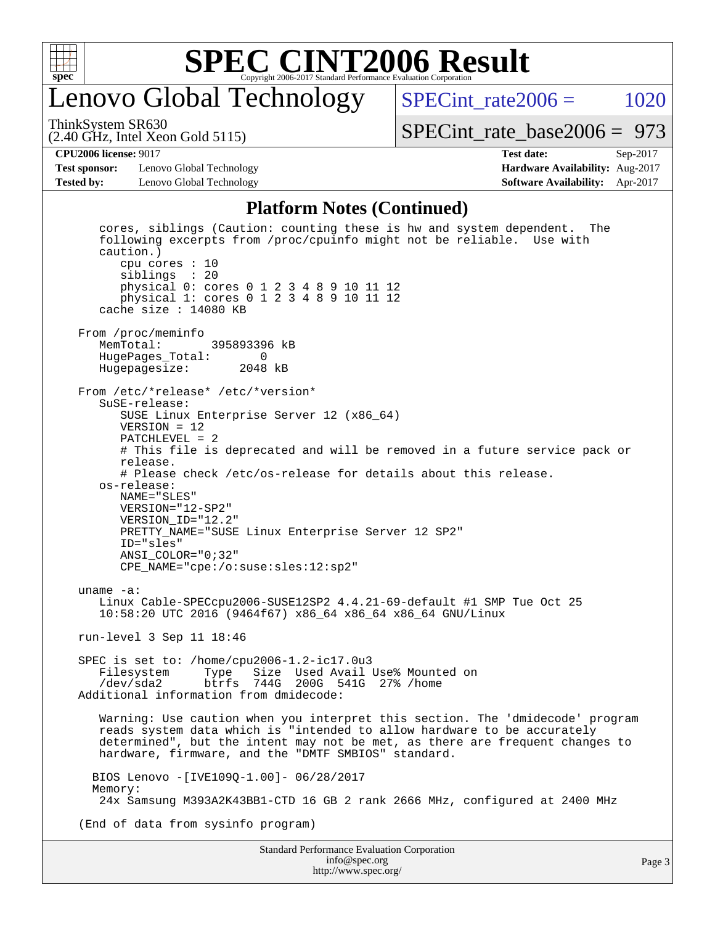

## enovo Global Technology

SPECint rate $2006 = 1020$ [SPECint\\_rate\\_base2006 =](http://www.spec.org/auto/cpu2006/Docs/result-fields.html#SPECintratebase2006) 973

(2.40 GHz, Intel Xeon Gold 5115) ThinkSystem SR630

**[Test sponsor:](http://www.spec.org/auto/cpu2006/Docs/result-fields.html#Testsponsor)** Lenovo Global Technology **[Hardware Availability:](http://www.spec.org/auto/cpu2006/Docs/result-fields.html#HardwareAvailability)** Aug-2017 **[Tested by:](http://www.spec.org/auto/cpu2006/Docs/result-fields.html#Testedby)** Lenovo Global Technology **[Software Availability:](http://www.spec.org/auto/cpu2006/Docs/result-fields.html#SoftwareAvailability)** Apr-2017

**[CPU2006 license:](http://www.spec.org/auto/cpu2006/Docs/result-fields.html#CPU2006license)** 9017 **[Test date:](http://www.spec.org/auto/cpu2006/Docs/result-fields.html#Testdate)** Sep-2017

#### **[Platform Notes \(Continued\)](http://www.spec.org/auto/cpu2006/Docs/result-fields.html#PlatformNotes)**

 cores, siblings (Caution: counting these is hw and system dependent. The following excerpts from /proc/cpuinfo might not be reliable. Use with caution.) cpu cores : 10 siblings : 20 physical 0: cores 0 1 2 3 4 8 9 10 11 12 physical 1: cores 0 1 2 3 4 8 9 10 11 12 cache size : 14080 KB From /proc/meminfo<br>MemTotal: 395893396 kB HugePages\_Total: 0 Hugepagesize: 2048 kB From /etc/\*release\* /etc/\*version\* SuSE-release: SUSE Linux Enterprise Server 12 (x86\_64) VERSION = 12 PATCHLEVEL = 2 # This file is deprecated and will be removed in a future service pack or release. # Please check /etc/os-release for details about this release. os-release: NAME="SLES" VERSION="12-SP2" VERSION\_ID="12.2" PRETTY\_NAME="SUSE Linux Enterprise Server 12 SP2" ID="sles" ANSI\_COLOR="0;32" CPE\_NAME="cpe:/o:suse:sles:12:sp2" uname -a: Linux Cable-SPECcpu2006-SUSE12SP2 4.4.21-69-default #1 SMP Tue Oct 25 10:58:20 UTC 2016 (9464f67) x86\_64 x86\_64 x86\_64 GNU/Linux run-level 3 Sep 11 18:46 SPEC is set to: /home/cpu2006-1.2-ic17.0u3 Filesystem Type Size Used Avail Use% Mounted on /dev/sda2 btrfs 744G 200G 541G 27% /home Additional information from dmidecode: Warning: Use caution when you interpret this section. The 'dmidecode' program reads system data which is "intended to allow hardware to be accurately determined", but the intent may not be met, as there are frequent changes to hardware, firmware, and the "DMTF SMBIOS" standard. BIOS Lenovo -[IVE109Q-1.00]- 06/28/2017 Memory: 24x Samsung M393A2K43BB1-CTD 16 GB 2 rank 2666 MHz, configured at 2400 MHz (End of data from sysinfo program)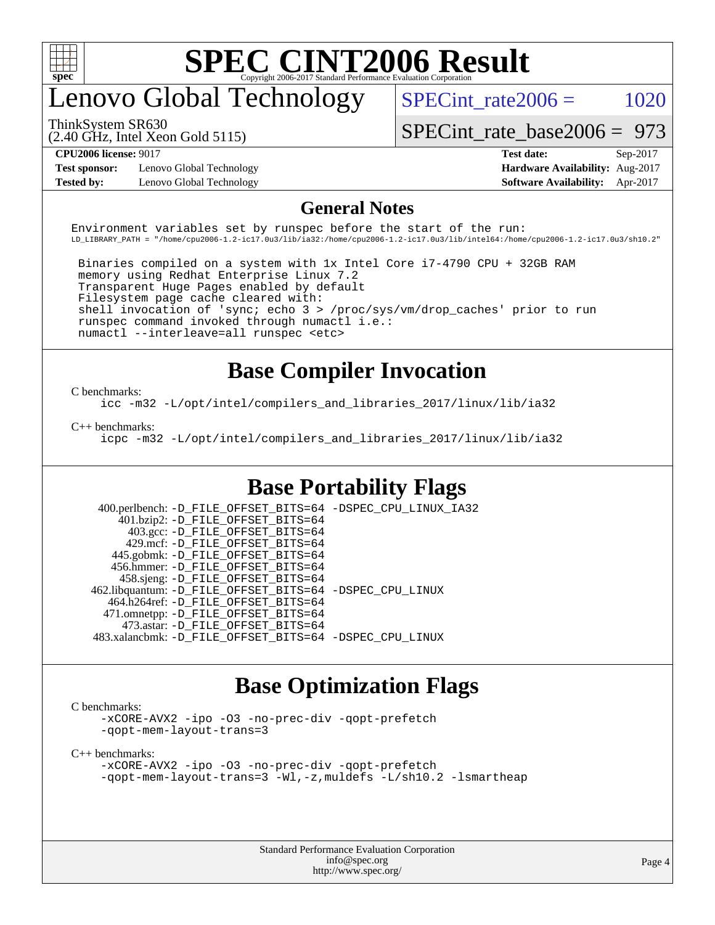

## enovo Global Technology

 $SPECTnt_rate2006 = 1020$ 

ThinkSystem SR630

(2.40 GHz, Intel Xeon Gold 5115)

[SPECint\\_rate\\_base2006 =](http://www.spec.org/auto/cpu2006/Docs/result-fields.html#SPECintratebase2006) 973

**[Test sponsor:](http://www.spec.org/auto/cpu2006/Docs/result-fields.html#Testsponsor)** Lenovo Global Technology **[Hardware Availability:](http://www.spec.org/auto/cpu2006/Docs/result-fields.html#HardwareAvailability)** Aug-2017

**[CPU2006 license:](http://www.spec.org/auto/cpu2006/Docs/result-fields.html#CPU2006license)** 9017 **[Test date:](http://www.spec.org/auto/cpu2006/Docs/result-fields.html#Testdate)** Sep-2017 **[Tested by:](http://www.spec.org/auto/cpu2006/Docs/result-fields.html#Testedby)** Lenovo Global Technology **[Software Availability:](http://www.spec.org/auto/cpu2006/Docs/result-fields.html#SoftwareAvailability)** Apr-2017

#### **[General Notes](http://www.spec.org/auto/cpu2006/Docs/result-fields.html#GeneralNotes)**

Environment variables set by runspec before the start of the run: LD\_LIBRARY\_PATH = "/home/cpu2006-1.2-ic17.0u3/lib/ia32:/home/cpu2006-1.2-ic17.0u3/lib/intel64:/home/cpu2006-1.2-ic17.0u3/sh10.2"

 Binaries compiled on a system with 1x Intel Core i7-4790 CPU + 32GB RAM memory using Redhat Enterprise Linux 7.2 Transparent Huge Pages enabled by default Filesystem page cache cleared with: shell invocation of 'sync; echo 3 > /proc/sys/vm/drop\_caches' prior to run runspec command invoked through numactl i.e.: numactl --interleave=all runspec <etc>

### **[Base Compiler Invocation](http://www.spec.org/auto/cpu2006/Docs/result-fields.html#BaseCompilerInvocation)**

[C benchmarks](http://www.spec.org/auto/cpu2006/Docs/result-fields.html#Cbenchmarks):

[icc -m32 -L/opt/intel/compilers\\_and\\_libraries\\_2017/linux/lib/ia32](http://www.spec.org/cpu2006/results/res2017q4/cpu2006-20170918-49482.flags.html#user_CCbase_intel_icc_c29f3ff5a7ed067b11e4ec10a03f03ae)

[C++ benchmarks:](http://www.spec.org/auto/cpu2006/Docs/result-fields.html#CXXbenchmarks)

[icpc -m32 -L/opt/intel/compilers\\_and\\_libraries\\_2017/linux/lib/ia32](http://www.spec.org/cpu2006/results/res2017q4/cpu2006-20170918-49482.flags.html#user_CXXbase_intel_icpc_8c35c7808b62dab9ae41a1aa06361b6b)

### **[Base Portability Flags](http://www.spec.org/auto/cpu2006/Docs/result-fields.html#BasePortabilityFlags)**

 400.perlbench: [-D\\_FILE\\_OFFSET\\_BITS=64](http://www.spec.org/cpu2006/results/res2017q4/cpu2006-20170918-49482.flags.html#user_basePORTABILITY400_perlbench_file_offset_bits_64_438cf9856305ebd76870a2c6dc2689ab) [-DSPEC\\_CPU\\_LINUX\\_IA32](http://www.spec.org/cpu2006/results/res2017q4/cpu2006-20170918-49482.flags.html#b400.perlbench_baseCPORTABILITY_DSPEC_CPU_LINUX_IA32) 401.bzip2: [-D\\_FILE\\_OFFSET\\_BITS=64](http://www.spec.org/cpu2006/results/res2017q4/cpu2006-20170918-49482.flags.html#user_basePORTABILITY401_bzip2_file_offset_bits_64_438cf9856305ebd76870a2c6dc2689ab) 403.gcc: [-D\\_FILE\\_OFFSET\\_BITS=64](http://www.spec.org/cpu2006/results/res2017q4/cpu2006-20170918-49482.flags.html#user_basePORTABILITY403_gcc_file_offset_bits_64_438cf9856305ebd76870a2c6dc2689ab) 429.mcf: [-D\\_FILE\\_OFFSET\\_BITS=64](http://www.spec.org/cpu2006/results/res2017q4/cpu2006-20170918-49482.flags.html#user_basePORTABILITY429_mcf_file_offset_bits_64_438cf9856305ebd76870a2c6dc2689ab) 445.gobmk: [-D\\_FILE\\_OFFSET\\_BITS=64](http://www.spec.org/cpu2006/results/res2017q4/cpu2006-20170918-49482.flags.html#user_basePORTABILITY445_gobmk_file_offset_bits_64_438cf9856305ebd76870a2c6dc2689ab) 456.hmmer: [-D\\_FILE\\_OFFSET\\_BITS=64](http://www.spec.org/cpu2006/results/res2017q4/cpu2006-20170918-49482.flags.html#user_basePORTABILITY456_hmmer_file_offset_bits_64_438cf9856305ebd76870a2c6dc2689ab) 458.sjeng: [-D\\_FILE\\_OFFSET\\_BITS=64](http://www.spec.org/cpu2006/results/res2017q4/cpu2006-20170918-49482.flags.html#user_basePORTABILITY458_sjeng_file_offset_bits_64_438cf9856305ebd76870a2c6dc2689ab) 462.libquantum: [-D\\_FILE\\_OFFSET\\_BITS=64](http://www.spec.org/cpu2006/results/res2017q4/cpu2006-20170918-49482.flags.html#user_basePORTABILITY462_libquantum_file_offset_bits_64_438cf9856305ebd76870a2c6dc2689ab) [-DSPEC\\_CPU\\_LINUX](http://www.spec.org/cpu2006/results/res2017q4/cpu2006-20170918-49482.flags.html#b462.libquantum_baseCPORTABILITY_DSPEC_CPU_LINUX) 464.h264ref: [-D\\_FILE\\_OFFSET\\_BITS=64](http://www.spec.org/cpu2006/results/res2017q4/cpu2006-20170918-49482.flags.html#user_basePORTABILITY464_h264ref_file_offset_bits_64_438cf9856305ebd76870a2c6dc2689ab) 471.omnetpp: [-D\\_FILE\\_OFFSET\\_BITS=64](http://www.spec.org/cpu2006/results/res2017q4/cpu2006-20170918-49482.flags.html#user_basePORTABILITY471_omnetpp_file_offset_bits_64_438cf9856305ebd76870a2c6dc2689ab) 473.astar: [-D\\_FILE\\_OFFSET\\_BITS=64](http://www.spec.org/cpu2006/results/res2017q4/cpu2006-20170918-49482.flags.html#user_basePORTABILITY473_astar_file_offset_bits_64_438cf9856305ebd76870a2c6dc2689ab) 483.xalancbmk: [-D\\_FILE\\_OFFSET\\_BITS=64](http://www.spec.org/cpu2006/results/res2017q4/cpu2006-20170918-49482.flags.html#user_basePORTABILITY483_xalancbmk_file_offset_bits_64_438cf9856305ebd76870a2c6dc2689ab) [-DSPEC\\_CPU\\_LINUX](http://www.spec.org/cpu2006/results/res2017q4/cpu2006-20170918-49482.flags.html#b483.xalancbmk_baseCXXPORTABILITY_DSPEC_CPU_LINUX)

### **[Base Optimization Flags](http://www.spec.org/auto/cpu2006/Docs/result-fields.html#BaseOptimizationFlags)**

[C benchmarks](http://www.spec.org/auto/cpu2006/Docs/result-fields.html#Cbenchmarks):

[-xCORE-AVX2](http://www.spec.org/cpu2006/results/res2017q4/cpu2006-20170918-49482.flags.html#user_CCbase_f-xCORE-AVX2) [-ipo](http://www.spec.org/cpu2006/results/res2017q4/cpu2006-20170918-49482.flags.html#user_CCbase_f-ipo) [-O3](http://www.spec.org/cpu2006/results/res2017q4/cpu2006-20170918-49482.flags.html#user_CCbase_f-O3) [-no-prec-div](http://www.spec.org/cpu2006/results/res2017q4/cpu2006-20170918-49482.flags.html#user_CCbase_f-no-prec-div) [-qopt-prefetch](http://www.spec.org/cpu2006/results/res2017q4/cpu2006-20170918-49482.flags.html#user_CCbase_f-qopt-prefetch) [-qopt-mem-layout-trans=3](http://www.spec.org/cpu2006/results/res2017q4/cpu2006-20170918-49482.flags.html#user_CCbase_f-qopt-mem-layout-trans_170f5be61cd2cedc9b54468c59262d5d)

[C++ benchmarks:](http://www.spec.org/auto/cpu2006/Docs/result-fields.html#CXXbenchmarks)

[-xCORE-AVX2](http://www.spec.org/cpu2006/results/res2017q4/cpu2006-20170918-49482.flags.html#user_CXXbase_f-xCORE-AVX2) [-ipo](http://www.spec.org/cpu2006/results/res2017q4/cpu2006-20170918-49482.flags.html#user_CXXbase_f-ipo) [-O3](http://www.spec.org/cpu2006/results/res2017q4/cpu2006-20170918-49482.flags.html#user_CXXbase_f-O3) [-no-prec-div](http://www.spec.org/cpu2006/results/res2017q4/cpu2006-20170918-49482.flags.html#user_CXXbase_f-no-prec-div) [-qopt-prefetch](http://www.spec.org/cpu2006/results/res2017q4/cpu2006-20170918-49482.flags.html#user_CXXbase_f-qopt-prefetch) [-qopt-mem-layout-trans=3](http://www.spec.org/cpu2006/results/res2017q4/cpu2006-20170918-49482.flags.html#user_CXXbase_f-qopt-mem-layout-trans_170f5be61cd2cedc9b54468c59262d5d) [-Wl,-z,muldefs](http://www.spec.org/cpu2006/results/res2017q4/cpu2006-20170918-49482.flags.html#user_CXXbase_link_force_multiple1_74079c344b956b9658436fd1b6dd3a8a) [-L/sh10.2 -lsmartheap](http://www.spec.org/cpu2006/results/res2017q4/cpu2006-20170918-49482.flags.html#user_CXXbase_SmartHeap_b831f2d313e2fffa6dfe3f00ffc1f1c0)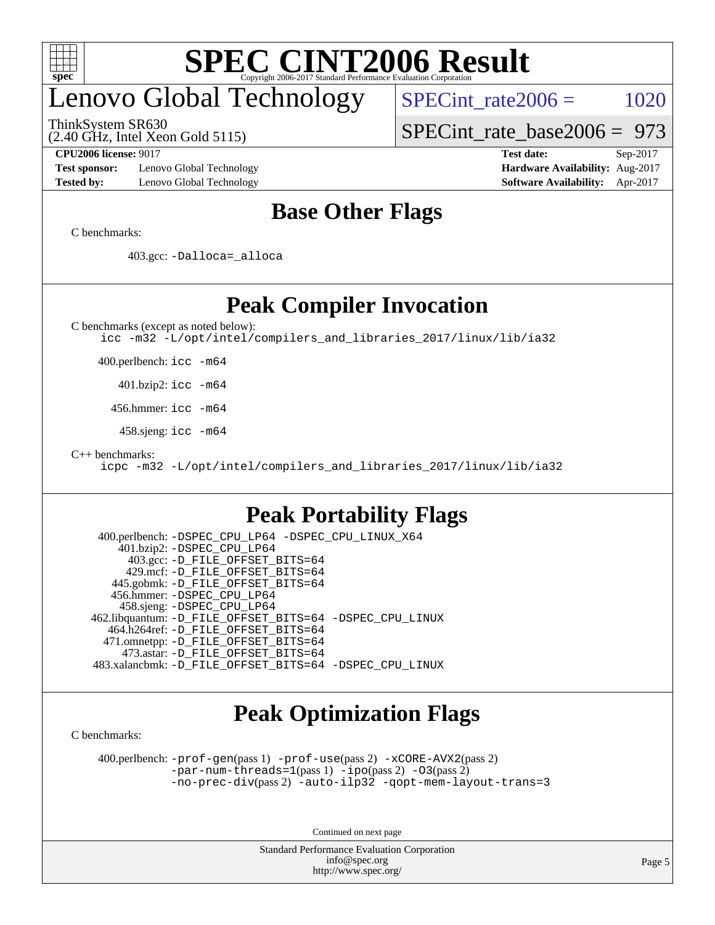

# enovo Global Technology

ThinkSystem SR630

 $SPECTnt_rate2006 = 1020$ 

[SPECint\\_rate\\_base2006 =](http://www.spec.org/auto/cpu2006/Docs/result-fields.html#SPECintratebase2006) 973

(2.40 GHz, Intel Xeon Gold 5115)

**[Test sponsor:](http://www.spec.org/auto/cpu2006/Docs/result-fields.html#Testsponsor)** Lenovo Global Technology **[Hardware Availability:](http://www.spec.org/auto/cpu2006/Docs/result-fields.html#HardwareAvailability)** Aug-2017 **[Tested by:](http://www.spec.org/auto/cpu2006/Docs/result-fields.html#Testedby)** Lenovo Global Technology **[Software Availability:](http://www.spec.org/auto/cpu2006/Docs/result-fields.html#SoftwareAvailability)** Apr-2017

**[CPU2006 license:](http://www.spec.org/auto/cpu2006/Docs/result-fields.html#CPU2006license)** 9017 **[Test date:](http://www.spec.org/auto/cpu2006/Docs/result-fields.html#Testdate)** Sep-2017

### **[Base Other Flags](http://www.spec.org/auto/cpu2006/Docs/result-fields.html#BaseOtherFlags)**

[C benchmarks](http://www.spec.org/auto/cpu2006/Docs/result-fields.html#Cbenchmarks):

403.gcc: [-Dalloca=\\_alloca](http://www.spec.org/cpu2006/results/res2017q4/cpu2006-20170918-49482.flags.html#b403.gcc_baseEXTRA_CFLAGS_Dalloca_be3056838c12de2578596ca5467af7f3)

**[Peak Compiler Invocation](http://www.spec.org/auto/cpu2006/Docs/result-fields.html#PeakCompilerInvocation)**

[C benchmarks \(except as noted below\)](http://www.spec.org/auto/cpu2006/Docs/result-fields.html#Cbenchmarksexceptasnotedbelow):

[icc -m32 -L/opt/intel/compilers\\_and\\_libraries\\_2017/linux/lib/ia32](http://www.spec.org/cpu2006/results/res2017q4/cpu2006-20170918-49482.flags.html#user_CCpeak_intel_icc_c29f3ff5a7ed067b11e4ec10a03f03ae)

400.perlbench: [icc -m64](http://www.spec.org/cpu2006/results/res2017q4/cpu2006-20170918-49482.flags.html#user_peakCCLD400_perlbench_intel_icc_64bit_bda6cc9af1fdbb0edc3795bac97ada53)

401.bzip2: [icc -m64](http://www.spec.org/cpu2006/results/res2017q4/cpu2006-20170918-49482.flags.html#user_peakCCLD401_bzip2_intel_icc_64bit_bda6cc9af1fdbb0edc3795bac97ada53)

456.hmmer: [icc -m64](http://www.spec.org/cpu2006/results/res2017q4/cpu2006-20170918-49482.flags.html#user_peakCCLD456_hmmer_intel_icc_64bit_bda6cc9af1fdbb0edc3795bac97ada53)

458.sjeng: [icc -m64](http://www.spec.org/cpu2006/results/res2017q4/cpu2006-20170918-49482.flags.html#user_peakCCLD458_sjeng_intel_icc_64bit_bda6cc9af1fdbb0edc3795bac97ada53)

[C++ benchmarks:](http://www.spec.org/auto/cpu2006/Docs/result-fields.html#CXXbenchmarks)

[icpc -m32 -L/opt/intel/compilers\\_and\\_libraries\\_2017/linux/lib/ia32](http://www.spec.org/cpu2006/results/res2017q4/cpu2006-20170918-49482.flags.html#user_CXXpeak_intel_icpc_8c35c7808b62dab9ae41a1aa06361b6b)

### **[Peak Portability Flags](http://www.spec.org/auto/cpu2006/Docs/result-fields.html#PeakPortabilityFlags)**

```
 400.perlbench: -DSPEC_CPU_LP64 -DSPEC_CPU_LINUX_X64
    401.bzip2: -DSPEC_CPU_LP64
      403.gcc: -D_FILE_OFFSET_BITS=64
     429.mcf: -D_FILE_OFFSET_BITS=64
   445.gobmk: -D_FILE_OFFSET_BITS=64
   456.hmmer: -DSPEC_CPU_LP64
    458.sjeng: -DSPEC_CPU_LP64
462.libquantum: -D_FILE_OFFSET_BITS=64 -DSPEC_CPU_LINUX
  464.h264ref: -D_FILE_OFFSET_BITS=64
  471.omnetpp: -D_FILE_OFFSET_BITS=64
     473.astar: -D_FILE_OFFSET_BITS=64
483.xalancbmk: -D_FILE_OFFSET_BITS=64 -DSPEC_CPU_LINUX
```
## **[Peak Optimization Flags](http://www.spec.org/auto/cpu2006/Docs/result-fields.html#PeakOptimizationFlags)**

[C benchmarks](http://www.spec.org/auto/cpu2006/Docs/result-fields.html#Cbenchmarks):

 400.perlbench: [-prof-gen](http://www.spec.org/cpu2006/results/res2017q4/cpu2006-20170918-49482.flags.html#user_peakPASS1_CFLAGSPASS1_LDCFLAGS400_perlbench_prof_gen_e43856698f6ca7b7e442dfd80e94a8fc)(pass 1) [-prof-use](http://www.spec.org/cpu2006/results/res2017q4/cpu2006-20170918-49482.flags.html#user_peakPASS2_CFLAGSPASS2_LDCFLAGS400_perlbench_prof_use_bccf7792157ff70d64e32fe3e1250b55)(pass 2) [-xCORE-AVX2](http://www.spec.org/cpu2006/results/res2017q4/cpu2006-20170918-49482.flags.html#user_peakPASS2_CFLAGSPASS2_LDCFLAGS400_perlbench_f-xCORE-AVX2)(pass 2)  $-par-num-threads=1(pass 1) -ipo(pass 2) -O3(pass 2)$  $-par-num-threads=1(pass 1) -ipo(pass 2) -O3(pass 2)$  $-par-num-threads=1(pass 1) -ipo(pass 2) -O3(pass 2)$  $-par-num-threads=1(pass 1) -ipo(pass 2) -O3(pass 2)$  $-par-num-threads=1(pass 1) -ipo(pass 2) -O3(pass 2)$  $-par-num-threads=1(pass 1) -ipo(pass 2) -O3(pass 2)$ [-no-prec-div](http://www.spec.org/cpu2006/results/res2017q4/cpu2006-20170918-49482.flags.html#user_peakPASS2_CFLAGSPASS2_LDCFLAGS400_perlbench_f-no-prec-div)(pass 2) [-auto-ilp32](http://www.spec.org/cpu2006/results/res2017q4/cpu2006-20170918-49482.flags.html#user_peakCOPTIMIZE400_perlbench_f-auto-ilp32) [-qopt-mem-layout-trans=3](http://www.spec.org/cpu2006/results/res2017q4/cpu2006-20170918-49482.flags.html#user_peakCOPTIMIZE400_perlbench_f-qopt-mem-layout-trans_170f5be61cd2cedc9b54468c59262d5d)

Continued on next page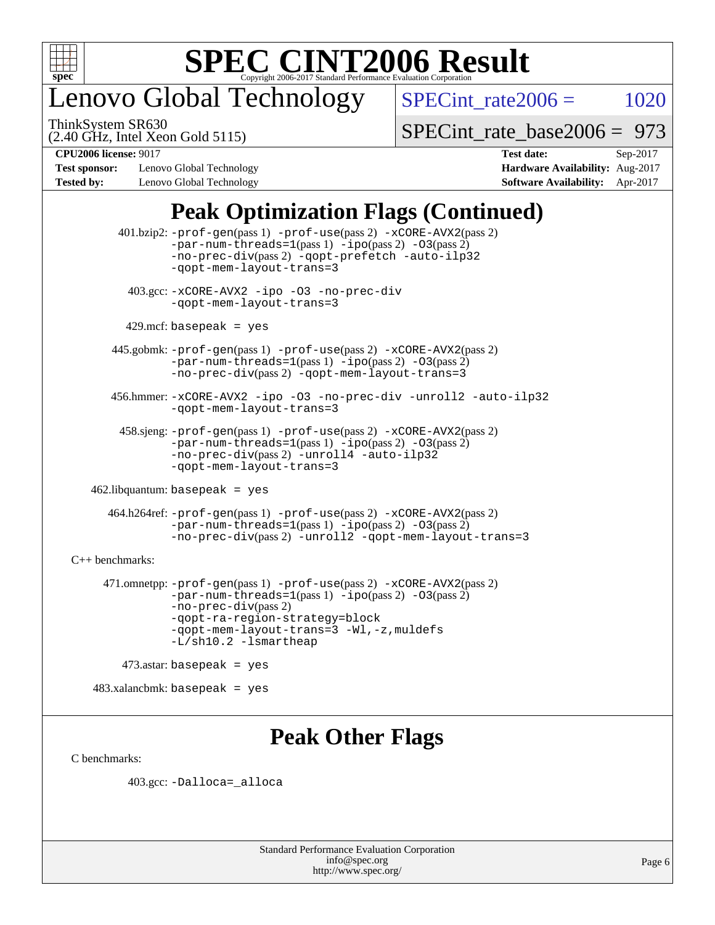

## enovo Global Technology

ThinkSystem SR630

 $SPECTnt_rate2006 = 1020$ 

(2.40 GHz, Intel Xeon Gold 5115)

[SPECint\\_rate\\_base2006 =](http://www.spec.org/auto/cpu2006/Docs/result-fields.html#SPECintratebase2006) 973

**[Test sponsor:](http://www.spec.org/auto/cpu2006/Docs/result-fields.html#Testsponsor)** Lenovo Global Technology **[Hardware Availability:](http://www.spec.org/auto/cpu2006/Docs/result-fields.html#HardwareAvailability)** Aug-2017 **[Tested by:](http://www.spec.org/auto/cpu2006/Docs/result-fields.html#Testedby)** Lenovo Global Technology **[Software Availability:](http://www.spec.org/auto/cpu2006/Docs/result-fields.html#SoftwareAvailability)** Apr-2017

**[CPU2006 license:](http://www.spec.org/auto/cpu2006/Docs/result-fields.html#CPU2006license)** 9017 **[Test date:](http://www.spec.org/auto/cpu2006/Docs/result-fields.html#Testdate)** Sep-2017

## **[Peak Optimization Flags \(Continued\)](http://www.spec.org/auto/cpu2006/Docs/result-fields.html#PeakOptimizationFlags)**

 401.bzip2: [-prof-gen](http://www.spec.org/cpu2006/results/res2017q4/cpu2006-20170918-49482.flags.html#user_peakPASS1_CFLAGSPASS1_LDCFLAGS401_bzip2_prof_gen_e43856698f6ca7b7e442dfd80e94a8fc)(pass 1) [-prof-use](http://www.spec.org/cpu2006/results/res2017q4/cpu2006-20170918-49482.flags.html#user_peakPASS2_CFLAGSPASS2_LDCFLAGS401_bzip2_prof_use_bccf7792157ff70d64e32fe3e1250b55)(pass 2) [-xCORE-AVX2](http://www.spec.org/cpu2006/results/res2017q4/cpu2006-20170918-49482.flags.html#user_peakPASS2_CFLAGSPASS2_LDCFLAGS401_bzip2_f-xCORE-AVX2)(pass 2)  $-par-num-threads=1(pass 1) -ipo(pass 2) -O3(pass 2)$  $-par-num-threads=1(pass 1) -ipo(pass 2) -O3(pass 2)$  $-par-num-threads=1(pass 1) -ipo(pass 2) -O3(pass 2)$  $-par-num-threads=1(pass 1) -ipo(pass 2) -O3(pass 2)$  $-par-num-threads=1(pass 1) -ipo(pass 2) -O3(pass 2)$  $-par-num-threads=1(pass 1) -ipo(pass 2) -O3(pass 2)$ [-no-prec-div](http://www.spec.org/cpu2006/results/res2017q4/cpu2006-20170918-49482.flags.html#user_peakPASS2_CFLAGSPASS2_LDCFLAGS401_bzip2_f-no-prec-div)(pass 2) [-qopt-prefetch](http://www.spec.org/cpu2006/results/res2017q4/cpu2006-20170918-49482.flags.html#user_peakCOPTIMIZE401_bzip2_f-qopt-prefetch) [-auto-ilp32](http://www.spec.org/cpu2006/results/res2017q4/cpu2006-20170918-49482.flags.html#user_peakCOPTIMIZE401_bzip2_f-auto-ilp32) [-qopt-mem-layout-trans=3](http://www.spec.org/cpu2006/results/res2017q4/cpu2006-20170918-49482.flags.html#user_peakCOPTIMIZE401_bzip2_f-qopt-mem-layout-trans_170f5be61cd2cedc9b54468c59262d5d) 403.gcc: [-xCORE-AVX2](http://www.spec.org/cpu2006/results/res2017q4/cpu2006-20170918-49482.flags.html#user_peakOPTIMIZE403_gcc_f-xCORE-AVX2) [-ipo](http://www.spec.org/cpu2006/results/res2017q4/cpu2006-20170918-49482.flags.html#user_peakOPTIMIZE403_gcc_f-ipo) [-O3](http://www.spec.org/cpu2006/results/res2017q4/cpu2006-20170918-49482.flags.html#user_peakOPTIMIZE403_gcc_f-O3) [-no-prec-div](http://www.spec.org/cpu2006/results/res2017q4/cpu2006-20170918-49482.flags.html#user_peakOPTIMIZE403_gcc_f-no-prec-div) [-qopt-mem-layout-trans=3](http://www.spec.org/cpu2006/results/res2017q4/cpu2006-20170918-49482.flags.html#user_peakCOPTIMIZE403_gcc_f-qopt-mem-layout-trans_170f5be61cd2cedc9b54468c59262d5d)  $429$ .mcf: basepeak = yes 445.gobmk: [-prof-gen](http://www.spec.org/cpu2006/results/res2017q4/cpu2006-20170918-49482.flags.html#user_peakPASS1_CFLAGSPASS1_LDCFLAGS445_gobmk_prof_gen_e43856698f6ca7b7e442dfd80e94a8fc)(pass 1) [-prof-use](http://www.spec.org/cpu2006/results/res2017q4/cpu2006-20170918-49482.flags.html#user_peakPASS2_CFLAGSPASS2_LDCFLAGSPASS2_LDFLAGS445_gobmk_prof_use_bccf7792157ff70d64e32fe3e1250b55)(pass 2) [-xCORE-AVX2](http://www.spec.org/cpu2006/results/res2017q4/cpu2006-20170918-49482.flags.html#user_peakPASS2_CFLAGSPASS2_LDCFLAGSPASS2_LDFLAGS445_gobmk_f-xCORE-AVX2)(pass 2) [-par-num-threads=1](http://www.spec.org/cpu2006/results/res2017q4/cpu2006-20170918-49482.flags.html#user_peakPASS1_CFLAGSPASS1_LDCFLAGS445_gobmk_par_num_threads_786a6ff141b4e9e90432e998842df6c2)(pass 1) [-ipo](http://www.spec.org/cpu2006/results/res2017q4/cpu2006-20170918-49482.flags.html#user_peakPASS2_LDCFLAGS445_gobmk_f-ipo)(pass 2) [-O3](http://www.spec.org/cpu2006/results/res2017q4/cpu2006-20170918-49482.flags.html#user_peakPASS2_LDCFLAGS445_gobmk_f-O3)(pass 2) [-no-prec-div](http://www.spec.org/cpu2006/results/res2017q4/cpu2006-20170918-49482.flags.html#user_peakPASS2_LDCFLAGS445_gobmk_f-no-prec-div)(pass 2) [-qopt-mem-layout-trans=3](http://www.spec.org/cpu2006/results/res2017q4/cpu2006-20170918-49482.flags.html#user_peakCOPTIMIZE445_gobmk_f-qopt-mem-layout-trans_170f5be61cd2cedc9b54468c59262d5d) 456.hmmer: [-xCORE-AVX2](http://www.spec.org/cpu2006/results/res2017q4/cpu2006-20170918-49482.flags.html#user_peakOPTIMIZE456_hmmer_f-xCORE-AVX2) [-ipo](http://www.spec.org/cpu2006/results/res2017q4/cpu2006-20170918-49482.flags.html#user_peakOPTIMIZE456_hmmer_f-ipo) [-O3](http://www.spec.org/cpu2006/results/res2017q4/cpu2006-20170918-49482.flags.html#user_peakOPTIMIZE456_hmmer_f-O3) [-no-prec-div](http://www.spec.org/cpu2006/results/res2017q4/cpu2006-20170918-49482.flags.html#user_peakOPTIMIZE456_hmmer_f-no-prec-div) [-unroll2](http://www.spec.org/cpu2006/results/res2017q4/cpu2006-20170918-49482.flags.html#user_peakCOPTIMIZE456_hmmer_f-unroll_784dae83bebfb236979b41d2422d7ec2) [-auto-ilp32](http://www.spec.org/cpu2006/results/res2017q4/cpu2006-20170918-49482.flags.html#user_peakCOPTIMIZE456_hmmer_f-auto-ilp32) [-qopt-mem-layout-trans=3](http://www.spec.org/cpu2006/results/res2017q4/cpu2006-20170918-49482.flags.html#user_peakCOPTIMIZE456_hmmer_f-qopt-mem-layout-trans_170f5be61cd2cedc9b54468c59262d5d) 458.sjeng: [-prof-gen](http://www.spec.org/cpu2006/results/res2017q4/cpu2006-20170918-49482.flags.html#user_peakPASS1_CFLAGSPASS1_LDCFLAGS458_sjeng_prof_gen_e43856698f6ca7b7e442dfd80e94a8fc)(pass 1) [-prof-use](http://www.spec.org/cpu2006/results/res2017q4/cpu2006-20170918-49482.flags.html#user_peakPASS2_CFLAGSPASS2_LDCFLAGS458_sjeng_prof_use_bccf7792157ff70d64e32fe3e1250b55)(pass 2) [-xCORE-AVX2](http://www.spec.org/cpu2006/results/res2017q4/cpu2006-20170918-49482.flags.html#user_peakPASS2_CFLAGSPASS2_LDCFLAGS458_sjeng_f-xCORE-AVX2)(pass 2)  $-par-num-threads=1(pass 1) -ipo(pass 2) -O3(pass 2)$  $-par-num-threads=1(pass 1) -ipo(pass 2) -O3(pass 2)$  $-par-num-threads=1(pass 1) -ipo(pass 2) -O3(pass 2)$  $-par-num-threads=1(pass 1) -ipo(pass 2) -O3(pass 2)$  $-par-num-threads=1(pass 1) -ipo(pass 2) -O3(pass 2)$  $-par-num-threads=1(pass 1) -ipo(pass 2) -O3(pass 2)$ [-no-prec-div](http://www.spec.org/cpu2006/results/res2017q4/cpu2006-20170918-49482.flags.html#user_peakPASS2_CFLAGSPASS2_LDCFLAGS458_sjeng_f-no-prec-div)(pass 2) [-unroll4](http://www.spec.org/cpu2006/results/res2017q4/cpu2006-20170918-49482.flags.html#user_peakCOPTIMIZE458_sjeng_f-unroll_4e5e4ed65b7fd20bdcd365bec371b81f) [-auto-ilp32](http://www.spec.org/cpu2006/results/res2017q4/cpu2006-20170918-49482.flags.html#user_peakCOPTIMIZE458_sjeng_f-auto-ilp32) [-qopt-mem-layout-trans=3](http://www.spec.org/cpu2006/results/res2017q4/cpu2006-20170918-49482.flags.html#user_peakCOPTIMIZE458_sjeng_f-qopt-mem-layout-trans_170f5be61cd2cedc9b54468c59262d5d)  $462$ .libquantum: basepeak = yes 464.h264ref: [-prof-gen](http://www.spec.org/cpu2006/results/res2017q4/cpu2006-20170918-49482.flags.html#user_peakPASS1_CFLAGSPASS1_LDCFLAGS464_h264ref_prof_gen_e43856698f6ca7b7e442dfd80e94a8fc)(pass 1) [-prof-use](http://www.spec.org/cpu2006/results/res2017q4/cpu2006-20170918-49482.flags.html#user_peakPASS2_CFLAGSPASS2_LDCFLAGS464_h264ref_prof_use_bccf7792157ff70d64e32fe3e1250b55)(pass 2) [-xCORE-AVX2](http://www.spec.org/cpu2006/results/res2017q4/cpu2006-20170918-49482.flags.html#user_peakPASS2_CFLAGSPASS2_LDCFLAGS464_h264ref_f-xCORE-AVX2)(pass 2)  $-par-num-threads=1(pass 1) -ipo(pass 2) -O3(pass 2)$  $-par-num-threads=1(pass 1) -ipo(pass 2) -O3(pass 2)$  $-par-num-threads=1(pass 1) -ipo(pass 2) -O3(pass 2)$  $-par-num-threads=1(pass 1) -ipo(pass 2) -O3(pass 2)$  $-par-num-threads=1(pass 1) -ipo(pass 2) -O3(pass 2)$  $-par-num-threads=1(pass 1) -ipo(pass 2) -O3(pass 2)$ [-no-prec-div](http://www.spec.org/cpu2006/results/res2017q4/cpu2006-20170918-49482.flags.html#user_peakPASS2_CFLAGSPASS2_LDCFLAGS464_h264ref_f-no-prec-div)(pass 2) [-unroll2](http://www.spec.org/cpu2006/results/res2017q4/cpu2006-20170918-49482.flags.html#user_peakCOPTIMIZE464_h264ref_f-unroll_784dae83bebfb236979b41d2422d7ec2) [-qopt-mem-layout-trans=3](http://www.spec.org/cpu2006/results/res2017q4/cpu2006-20170918-49482.flags.html#user_peakCOPTIMIZE464_h264ref_f-qopt-mem-layout-trans_170f5be61cd2cedc9b54468c59262d5d) [C++ benchmarks:](http://www.spec.org/auto/cpu2006/Docs/result-fields.html#CXXbenchmarks) 471.omnetpp: [-prof-gen](http://www.spec.org/cpu2006/results/res2017q4/cpu2006-20170918-49482.flags.html#user_peakPASS1_CXXFLAGSPASS1_LDCXXFLAGS471_omnetpp_prof_gen_e43856698f6ca7b7e442dfd80e94a8fc)(pass 1) [-prof-use](http://www.spec.org/cpu2006/results/res2017q4/cpu2006-20170918-49482.flags.html#user_peakPASS2_CXXFLAGSPASS2_LDCXXFLAGS471_omnetpp_prof_use_bccf7792157ff70d64e32fe3e1250b55)(pass 2) [-xCORE-AVX2](http://www.spec.org/cpu2006/results/res2017q4/cpu2006-20170918-49482.flags.html#user_peakPASS2_CXXFLAGSPASS2_LDCXXFLAGS471_omnetpp_f-xCORE-AVX2)(pass 2) [-par-num-threads=1](http://www.spec.org/cpu2006/results/res2017q4/cpu2006-20170918-49482.flags.html#user_peakPASS1_CXXFLAGSPASS1_LDCXXFLAGS471_omnetpp_par_num_threads_786a6ff141b4e9e90432e998842df6c2)(pass 1) [-ipo](http://www.spec.org/cpu2006/results/res2017q4/cpu2006-20170918-49482.flags.html#user_peakPASS2_CXXFLAGSPASS2_LDCXXFLAGS471_omnetpp_f-ipo)(pass 2) [-O3](http://www.spec.org/cpu2006/results/res2017q4/cpu2006-20170918-49482.flags.html#user_peakPASS2_CXXFLAGSPASS2_LDCXXFLAGS471_omnetpp_f-O3)(pass 2) [-no-prec-div](http://www.spec.org/cpu2006/results/res2017q4/cpu2006-20170918-49482.flags.html#user_peakPASS2_CXXFLAGSPASS2_LDCXXFLAGS471_omnetpp_f-no-prec-div)(pass 2) [-qopt-ra-region-strategy=block](http://www.spec.org/cpu2006/results/res2017q4/cpu2006-20170918-49482.flags.html#user_peakCXXOPTIMIZE471_omnetpp_f-qopt-ra-region-strategy_430aa8f7c220cbde92ae827fa8d9be32)  [-qopt-mem-layout-trans=3](http://www.spec.org/cpu2006/results/res2017q4/cpu2006-20170918-49482.flags.html#user_peakCXXOPTIMIZE471_omnetpp_f-qopt-mem-layout-trans_170f5be61cd2cedc9b54468c59262d5d) [-Wl,-z,muldefs](http://www.spec.org/cpu2006/results/res2017q4/cpu2006-20170918-49482.flags.html#user_peakEXTRA_LDFLAGS471_omnetpp_link_force_multiple1_74079c344b956b9658436fd1b6dd3a8a) [-L/sh10.2 -lsmartheap](http://www.spec.org/cpu2006/results/res2017q4/cpu2006-20170918-49482.flags.html#user_peakEXTRA_LIBS471_omnetpp_SmartHeap_b831f2d313e2fffa6dfe3f00ffc1f1c0) 473.astar: basepeak = yes  $483.xalanchmk: basepeak = yes$ 

## **[Peak Other Flags](http://www.spec.org/auto/cpu2006/Docs/result-fields.html#PeakOtherFlags)**

[C benchmarks](http://www.spec.org/auto/cpu2006/Docs/result-fields.html#Cbenchmarks):

403.gcc: [-Dalloca=\\_alloca](http://www.spec.org/cpu2006/results/res2017q4/cpu2006-20170918-49482.flags.html#b403.gcc_peakEXTRA_CFLAGS_Dalloca_be3056838c12de2578596ca5467af7f3)